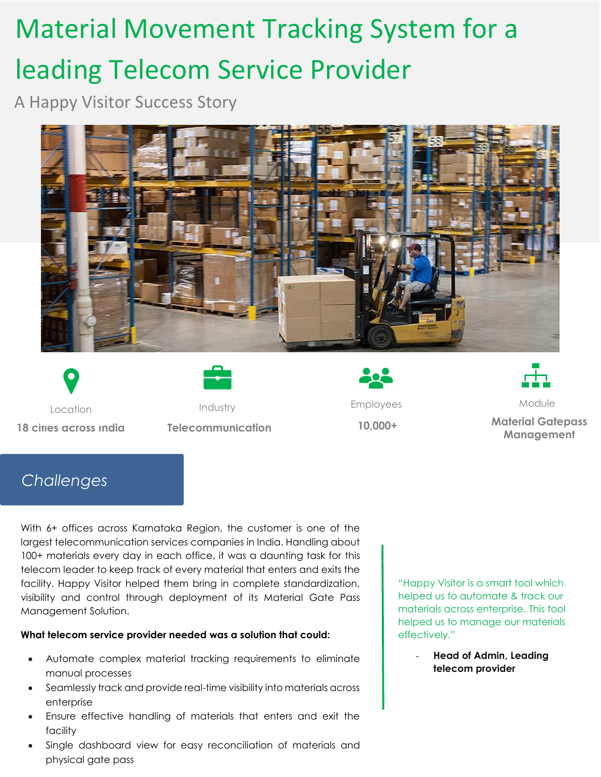# Material Movement Tracking System for a leading Telecom Service Provider

A Happy Visitor Success Story







Location **Industry Employees** Employees Module





**18 cities across India Telecommunication 10,000+ Material Gatepass Management**

## *Challenges*

With 6+ offices across Karnataka Region, the customer is one of the largest telecommunication services companies in India. Handling about 100+ materials every day in each office, it was a daunting task for this telecom leader to keep track of every material that enters and exits the facility. Happy Visitor helped them bring in complete standardization, visibility and control through deployment of its Material Gate Pass Management Solution.

#### **What telecom service provider needed was a solution that could:**

- Automate complex material tracking requirements to eliminate manual processes
- Seamlessly track and provide real-time visibility into materials across enterprise
- Ensure effective handling of materials that enters and exit the facility
- Single dashboard view for easy reconciliation of materials and physical gate pass

"Happy Visitor is a smart tool which helped us to automate & track our materials across enterprise. This tool helped us to manage our materials effectively."

> - **Head of Admin, Leading telecom provider**